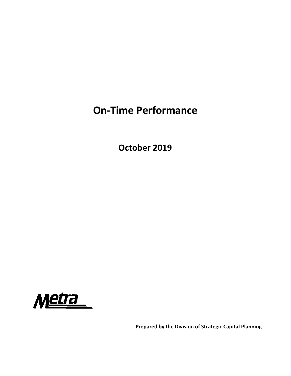## **On‐Time Performance**

**October 2019**



**Prepared by the Division of Strategic Capital Planning**